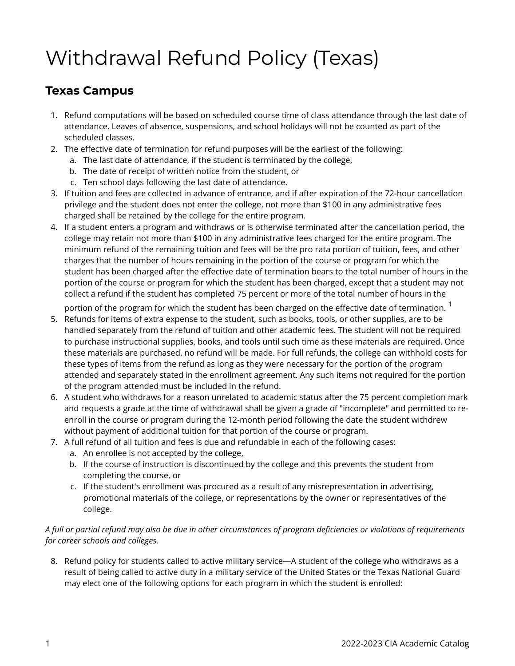## Withdrawal Refund Policy (Texas)

## **Texas Campus**

- 1. Refund computations will be based on scheduled course time of class attendance through the last date of attendance. Leaves of absence, suspensions, and school holidays will not be counted as part of the scheduled classes.
- 2. The effective date of termination for refund purposes will be the earliest of the following:
	- a. The last date of attendance, if the student is terminated by the college,
	- b. The date of receipt of written notice from the student, or
	- c. Ten school days following the last date of attendance.
- 3. If tuition and fees are collected in advance of entrance, and if after expiration of the 72-hour cancellation privilege and the student does not enter the college, not more than \$100 in any administrative fees charged shall be retained by the college for the entire program.
- 4. If a student enters a program and withdraws or is otherwise terminated after the cancellation period, the college may retain not more than \$100 in any administrative fees charged for the entire program. The minimum refund of the remaining tuition and fees will be the pro rata portion of tuition, fees, and other charges that the number of hours remaining in the portion of the course or program for which the student has been charged after the effective date of termination bears to the total number of hours in the portion of the course or program for which the student has been charged, except that a student may not collect a refund if the student has completed 75 percent or more of the total number of hours in the

portion of the program for which the student has been charged on the effective date of termination.  $1$ 

- 5. Refunds for items of extra expense to the student, such as books, tools, or other supplies, are to be handled separately from the refund of tuition and other academic fees. The student will not be required to purchase instructional supplies, books, and tools until such time as these materials are required. Once these materials are purchased, no refund will be made. For full refunds, the college can withhold costs for these types of items from the refund as long as they were necessary for the portion of the program attended and separately stated in the enrollment agreement. Any such items not required for the portion of the program attended must be included in the refund.
- 6. A student who withdraws for a reason unrelated to academic status after the 75 percent completion mark and requests a grade at the time of withdrawal shall be given a grade of "incomplete" and permitted to reenroll in the course or program during the 12-month period following the date the student withdrew without payment of additional tuition for that portion of the course or program.
- 7. A full refund of all tuition and fees is due and refundable in each of the following cases:
	- a. An enrollee is not accepted by the college,
	- b. If the course of instruction is discontinued by the college and this prevents the student from completing the course, or
	- c. If the student's enrollment was procured as a result of any misrepresentation in advertising, promotional materials of the college, or representations by the owner or representatives of the college.

## *A full or partial refund may also be due in other circumstances of program deficiencies or violations of requirements for career schools and colleges.*

8. Refund policy for students called to active military service—A student of the college who withdraws as a result of being called to active duty in a military service of the United States or the Texas National Guard may elect one of the following options for each program in which the student is enrolled: